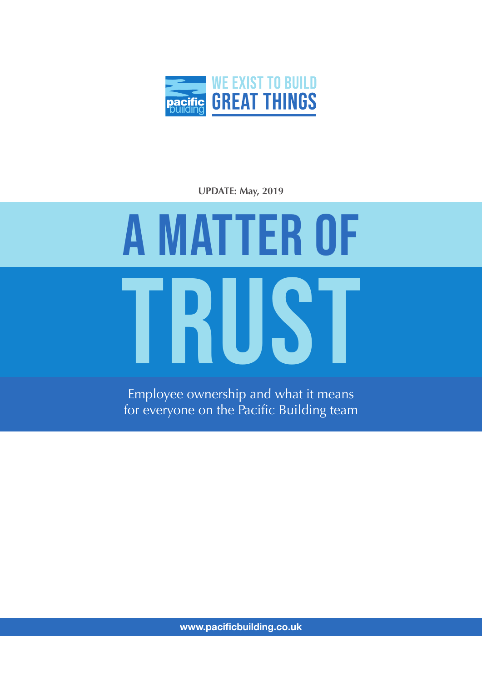

**UPDATE: May, 2019**

## TRUST A MATTER OF

Employee ownership and what it means for everyone on the Pacific Building team

**www.pacificbuilding.co.uk**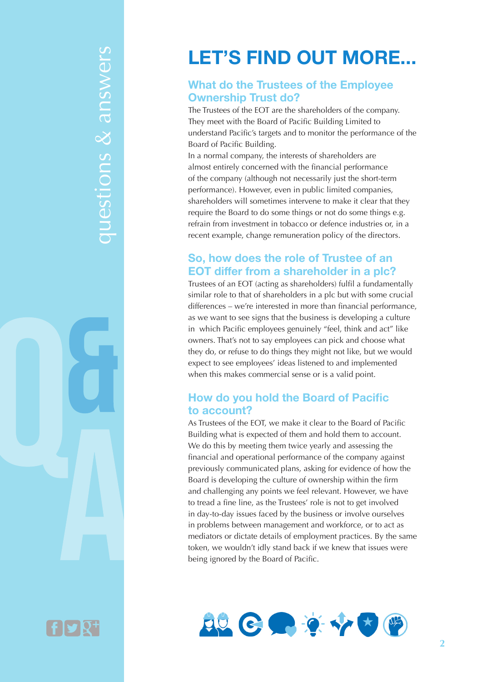# questions & answers questions & answers

## **LET'S FIND OUT MORE...**

### **What do the Trustees of the Employee Ownership Trust do?**

The Trustees of the EOT are the shareholders of the company. They meet with the Board of Pacific Building Limited to understand Pacific's targets and to monitor the performance of the Board of Pacific Building.

In a normal company, the interests of shareholders are almost entirely concerned with the financial performance of the company (although not necessarily just the short-term performance). However, even in public limited companies, shareholders will sometimes intervene to make it clear that they require the Board to do some things or not do some things e.g. refrain from investment in tobacco or defence industries or, in a recent example, change remuneration policy of the directors.

## **So, how does the role of Trustee of an EOT differ from a shareholder in a plc?**

Trustees of an EOT (acting as shareholders) fulfil a fundamentally similar role to that of shareholders in a plc but with some crucial differences – we're interested in more than financial performance, as we want to see signs that the business is developing a culture in which Pacific employees genuinely "feel, think and act" like owners. That's not to say employees can pick and choose what they do, or refuse to do things they might not like, but we would expect to see employees' ideas listened to and implemented when this makes commercial sense or is a valid point.

## **How do you hold the Board of Pacific to account?**

As Trustees of the EOT, we make it clear to the Board of Pacific Building what is expected of them and hold them to account. We do this by meeting them twice yearly and assessing the financial and operational performance of the company against previously communicated plans, asking for evidence of how the Board is developing the culture of ownership within the firm and challenging any points we feel relevant. However, we have to tread a fine line, as the Trustees' role is not to get involved in day-to-day issues faced by the business or involve ourselves in problems between management and workforce, or to act as mediators or dictate details of employment practices. By the same token, we wouldn't idly stand back if we knew that issues were being ignored by the Board of Pacific.



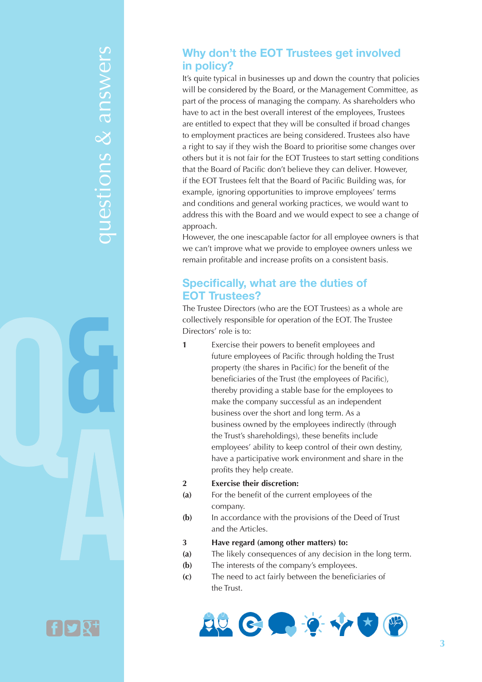# questions & answers questions & answers



## **Why don't the EOT Trustees get involved in policy?**

It's quite typical in businesses up and down the country that policies will be considered by the Board, or the Management Committee, as part of the process of managing the company. As shareholders who have to act in the best overall interest of the employees, Trustees are entitled to expect that they will be consulted if broad changes to employment practices are being considered. Trustees also have a right to say if they wish the Board to prioritise some changes over others but it is not fair for the EOT Trustees to start setting conditions that the Board of Pacific don't believe they can deliver. However, if the EOT Trustees felt that the Board of Pacific Building was, for example, ignoring opportunities to improve employees' terms and conditions and general working practices, we would want to address this with the Board and we would expect to see a change of approach.

However, the one inescapable factor for all employee owners is that we can't improve what we provide to employee owners unless we remain profitable and increase profits on a consistent basis.

## **Specifically, what are the duties of EOT Trustees?**

The Trustee Directors (who are the EOT Trustees) as a whole are collectively responsible for operation of the EOT. The Trustee Directors' role is to:

**1** Exercise their powers to benefit employees and future employees of Pacific through holding the Trust property (the shares in Pacific) for the benefit of the beneficiaries of the Trust (the employees of Pacific), thereby providing a stable base for the employees to make the company successful as an independent business over the short and long term. As a business owned by the employees indirectly (through the Trust's shareholdings), these benefits include employees' ability to keep control of their own destiny, have a participative work environment and share in the profits they help create.

### **2 Exercise their discretion:**

- **(a)** For the benefit of the current employees of the company.
- **(b)** In accordance with the provisions of the Deed of Trust and the Articles.
- **3 Have regard (among other matters) to:**
- **(a)** The likely consequences of any decision in the long term.
- **(b)** The interests of the company's employees.
- **(c)** The need to act fairly between the beneficiaries of the Trust.